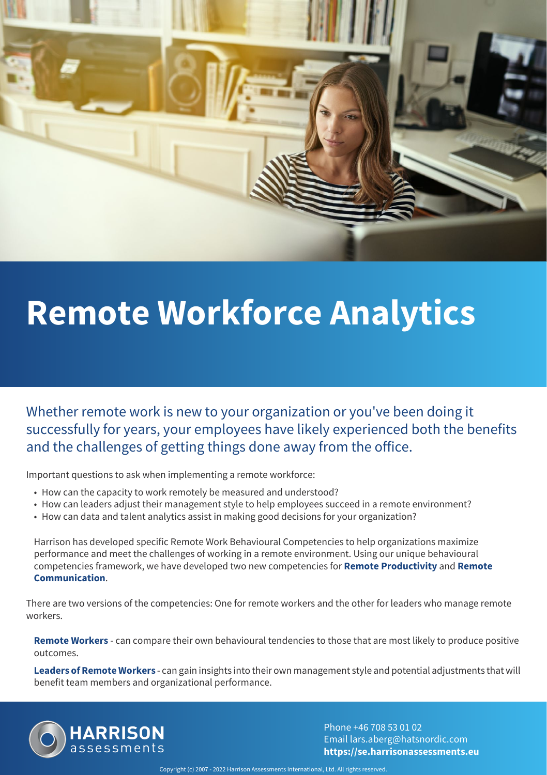

# **Remote Workforce Analytics**

Whether remote work is new to your organization or you've been doing it successfully for years, your employees have likely experienced both the benefits and the challenges of getting things done away from the office.

Important questions to ask when implementing a remote workforce:

- How can the capacity to work remotely be measured and understood?
- How can leaders adjust their management style to help employees succeed in a remote environment?
- How can data and talent analytics assist in making good decisions for your organization?

Harrison has developed specific Remote Work Behavioural Competencies to help organizations maximize performance and meet the challenges of working in a remote environment. Using our unique behavioural competencies framework, we have developed two new competencies for **Remote Productivity** and **Remote Communication**.

There are two versions of the competencies: One for remote workers and the other for leaders who manage remote workers.

**Remote Workers** - can compare their own behavioural tendencies to those that are most likely to produce positive outcomes.

**Leaders of Remote Workers** - can gain insights into their own management style and potential adjustments that will benefit team members and organizational performance.



Phone +46 708 53 01 02 Email lars.aberg@hatsnordic.com **https://se.harrisonassessments.eu**